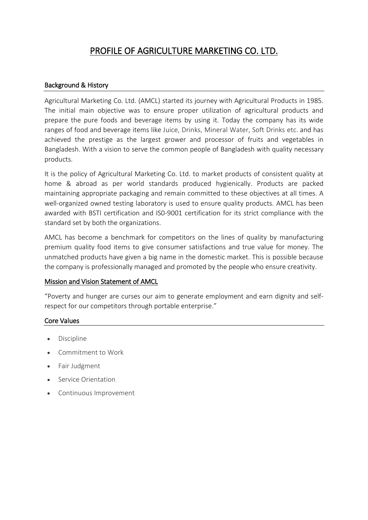# PROFILE OF AGRICULTURE MARKETING CO. LTD.

### Background & History

Agricultural Marketing Co. Ltd. (AMCL) started its journey with Agricultural Products in 1985. The initial main objective was to ensure proper utilization of agricultural products and prepare the pure foods and beverage items by using it. Today the company has its wide ranges of food and beverage items like Juice, Drinks, Mineral Water, Soft Drinks etc. and has achieved the prestige as the largest grower and processor of fruits and vegetables in Bangladesh. With a vision to serve the common people of Bangladesh with quality necessary products.

It is the policy of Agricultural Marketing Co. Ltd. to market products of consistent quality at home & abroad as per world standards produced hygienically. Products are packed maintaining appropriate packaging and remain committed to these objectives at all times. A well-organized owned testing laboratory is used to ensure quality products. AMCL has been awarded with BSTI certification and IS0-9001 certification for its strict compliance with the standard set by both the organizations.

AMCL has become a benchmark for competitors on the lines of quality by manufacturing premium quality food items to give consumer satisfactions and true value for money. The unmatched products have given a big name in the domestic market. This is possible because the company is professionally managed and promoted by the people who ensure creativity.

### Mission and Vision Statement of AMCL

"Poverty and hunger are curses our aim to generate employment and earn dignity and selfrespect for our competitors through portable enterprise."

## Core Values

- Discipline
- Commitment to Work
- Fair Judgment
- Service Orientation
- Continuous Improvement